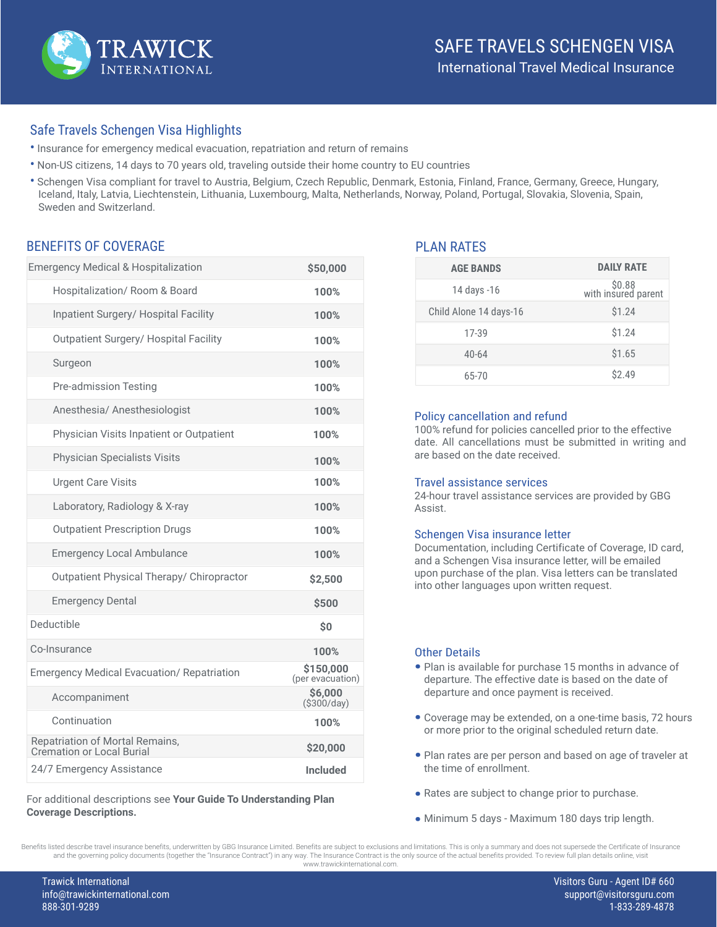

## Safe Travels Schengen Visa Highlights

- Insurance for emergency medical evacuation, repatriation and return of remains
- Non-US citizens, 14 days to 70 years old, traveling outside their home country to EU countries
- Schengen Visa compliant for travel to Austria, Belgium, Czech Republic, Denmark, Estonia, Finland, France, Germany, Greece, Hungary, Iceland, Italy, Latvia, Liechtenstein, Lithuania, Luxembourg, Malta, Netherlands, Norway, Poland, Portugal, Slovakia, Slovenia, Spain, Sweden and Switzerland.

### BENEFITS OF COVERAGE

| <b>Emergency Medical &amp; Hospitalization</b>                      | \$50,000                      |
|---------------------------------------------------------------------|-------------------------------|
| Hospitalization/ Room & Board                                       | 100%                          |
| Inpatient Surgery/ Hospital Facility                                | 100%                          |
| <b>Outpatient Surgery/ Hospital Facility</b>                        | 100%                          |
| Surgeon                                                             | 100%                          |
| Pre-admission Testing                                               | 100%                          |
| Anesthesia/ Anesthesiologist                                        | 100%                          |
| Physician Visits Inpatient or Outpatient                            | 100%                          |
| <b>Physician Specialists Visits</b>                                 | 100%                          |
| <b>Urgent Care Visits</b>                                           | 100%                          |
| Laboratory, Radiology & X-ray                                       | 100%                          |
| <b>Outpatient Prescription Drugs</b>                                | 100%                          |
| <b>Emergency Local Ambulance</b>                                    | 100%                          |
| Outpatient Physical Therapy/ Chiropractor                           | \$2,500                       |
| <b>Emergency Dental</b>                                             | \$500                         |
| Deductible                                                          | \$0                           |
| Co-Insurance                                                        | 100%                          |
| <b>Emergency Medical Evacuation/ Repatriation</b>                   | \$150,000<br>(per evacuation) |
| Accompaniment                                                       | \$6,000<br>$($ \$300/day $)$  |
| Continuation                                                        | 100%                          |
| Repatriation of Mortal Remains,<br><b>Cremation or Local Burial</b> | \$20,000                      |
| 24/7 Emergency Assistance                                           | <b>Included</b>               |

For additional descriptions see **Your Guide To Understanding Plan Coverage Descriptions.**

## PLAN RATES

| <b>AGE BANDS</b>       | <b>DAILY RATE</b>             |
|------------------------|-------------------------------|
| 14 days -16            | \$0.88<br>with insured parent |
| Child Alone 14 days-16 | \$1.24                        |
| 17-39                  | \$1.24                        |
| $40 - 64$              | \$1.65                        |
| 65-70                  | \$2.49                        |

#### Policy cancellation and refund

100% refund for policies cancelled prior to the effective date. All cancellations must be submitted in writing and are based on the date received.

#### Travel assistance services

24-hour travel assistance services are provided by GBG Assist.

#### Schengen Visa insurance letter

Documentation, including Certificate of Coverage, ID card, and a Schengen Visa insurance letter, will be emailed upon purchase of the plan. Visa letters can be translated into other languages upon written request.

#### Other Details

- Plan is available for purchase 15 months in advance of departure. The effective date is based on the date of departure and once payment is received.
- Coverage may be extended, on a one-time basis, 72 hours or more prior to the original scheduled return date.
- Plan rates are per person and based on age of traveler at the time of enrollment.
- Rates are subject to change prior to purchase. •
- Minimum 5 days Maximum 180 days trip length.

Benefits listed describe travel insurance benefits, underwritten by GBG Insurance Limited. Benefits are subject to exclusions and limitations. This is only a summary and does not supersede the Certificate of Insurance and the governing policy documents (together the "Insurance Contract") in any way. The Insurance Contract is the only source of the actual benefits provided. To review full plan details online, visit www.trawickinternational.com.